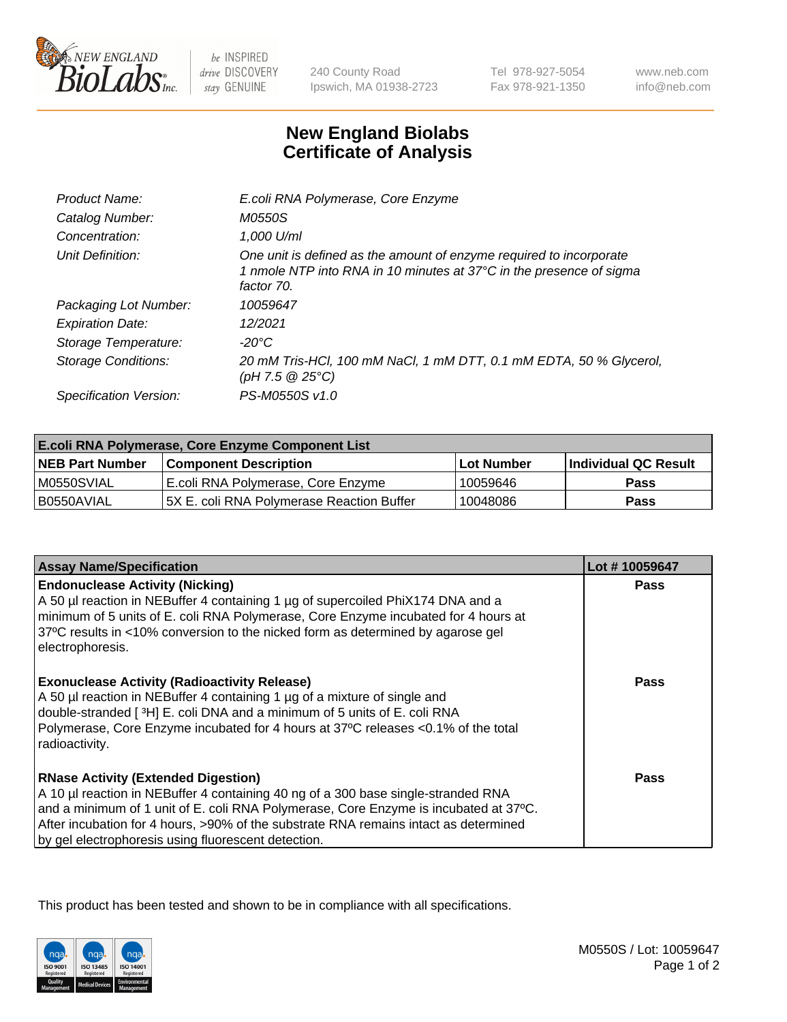

 $be$  INSPIRED drive DISCOVERY stay GENUINE

240 County Road Ipswich, MA 01938-2723 Tel 978-927-5054 Fax 978-921-1350 www.neb.com info@neb.com

## **New England Biolabs Certificate of Analysis**

| Product Name:              | E.coli RNA Polymerase, Core Enzyme                                                                                                                       |
|----------------------------|----------------------------------------------------------------------------------------------------------------------------------------------------------|
| Catalog Number:            | M0550S                                                                                                                                                   |
| Concentration:             | 1,000 U/ml                                                                                                                                               |
| Unit Definition:           | One unit is defined as the amount of enzyme required to incorporate<br>1 nmole NTP into RNA in 10 minutes at 37°C in the presence of sigma<br>factor 70. |
| Packaging Lot Number:      | 10059647                                                                                                                                                 |
| <b>Expiration Date:</b>    | 12/2021                                                                                                                                                  |
| Storage Temperature:       | -20°C                                                                                                                                                    |
| <b>Storage Conditions:</b> | 20 mM Tris-HCl, 100 mM NaCl, 1 mM DTT, 0.1 mM EDTA, 50 % Glycerol,<br>(pH 7.5 @ 25°C)                                                                    |
| Specification Version:     | PS-M0550S v1.0                                                                                                                                           |

| <b>E.coli RNA Polymerase, Core Enzyme Component List</b> |                                            |                   |                      |  |
|----------------------------------------------------------|--------------------------------------------|-------------------|----------------------|--|
| <b>NEB Part Number</b>                                   | <b>Component Description</b>               | <b>Lot Number</b> | Individual QC Result |  |
| M0550SVIAL                                               | E.coli RNA Polymerase, Core Enzyme         | 10059646          | Pass                 |  |
| I B0550AVIAL                                             | 15X E. coli RNA Polymerase Reaction Buffer | 10048086          | <b>Pass</b>          |  |

| <b>Assay Name/Specification</b>                                                                                                                                                                                                                                                                                                                                        | Lot #10059647 |
|------------------------------------------------------------------------------------------------------------------------------------------------------------------------------------------------------------------------------------------------------------------------------------------------------------------------------------------------------------------------|---------------|
| <b>Endonuclease Activity (Nicking)</b><br>A 50 µl reaction in NEBuffer 4 containing 1 µg of supercoiled PhiX174 DNA and a<br>minimum of 5 units of E. coli RNA Polymerase, Core Enzyme incubated for 4 hours at<br>37°C results in <10% conversion to the nicked form as determined by agarose gel<br>electrophoresis.                                                 | <b>Pass</b>   |
| <b>Exonuclease Activity (Radioactivity Release)</b><br>A 50 µl reaction in NEBuffer 4 containing 1 µg of a mixture of single and<br>double-stranded [3H] E. coli DNA and a minimum of 5 units of E. coli RNA<br>Polymerase, Core Enzyme incubated for 4 hours at 37°C releases <0.1% of the total<br>radioactivity.                                                    | Pass          |
| <b>RNase Activity (Extended Digestion)</b><br>A 10 µl reaction in NEBuffer 4 containing 40 ng of a 300 base single-stranded RNA<br>and a minimum of 1 unit of E. coli RNA Polymerase, Core Enzyme is incubated at 37°C.<br>After incubation for 4 hours, >90% of the substrate RNA remains intact as determined<br>by gel electrophoresis using fluorescent detection. | Pass          |

This product has been tested and shown to be in compliance with all specifications.